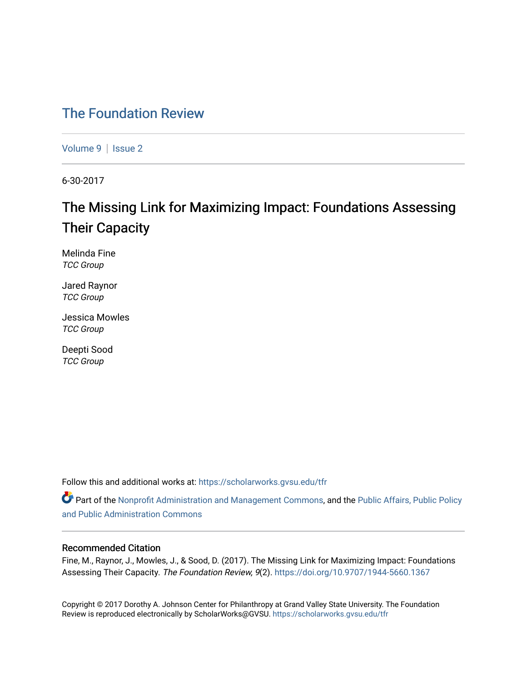### [The Foundation Review](https://scholarworks.gvsu.edu/tfr)

[Volume 9](https://scholarworks.gvsu.edu/tfr/vol9) | Issue 2

6-30-2017

## The Missing Link for Maximizing Impact: Foundations Assessing Their Capacity

Melinda Fine TCC Group

Jared Raynor TCC Group

Jessica Mowles TCC Group

Deepti Sood TCC Group

Follow this and additional works at: [https://scholarworks.gvsu.edu/tfr](https://scholarworks.gvsu.edu/tfr?utm_source=scholarworks.gvsu.edu%2Ftfr%2Fvol9%2Fiss2%2F10&utm_medium=PDF&utm_campaign=PDFCoverPages)

Part of the [Nonprofit Administration and Management Commons,](http://network.bepress.com/hgg/discipline/1228?utm_source=scholarworks.gvsu.edu%2Ftfr%2Fvol9%2Fiss2%2F10&utm_medium=PDF&utm_campaign=PDFCoverPages) and the Public Affairs, Public Policy [and Public Administration Commons](http://network.bepress.com/hgg/discipline/393?utm_source=scholarworks.gvsu.edu%2Ftfr%2Fvol9%2Fiss2%2F10&utm_medium=PDF&utm_campaign=PDFCoverPages) 

#### Recommended Citation

Fine, M., Raynor, J., Mowles, J., & Sood, D. (2017). The Missing Link for Maximizing Impact: Foundations Assessing Their Capacity. The Foundation Review, 9(2).<https://doi.org/10.9707/1944-5660.1367>

Copyright © 2017 Dorothy A. Johnson Center for Philanthropy at Grand Valley State University. The Foundation Review is reproduced electronically by ScholarWorks@GVSU.<https://scholarworks.gvsu.edu/tfr>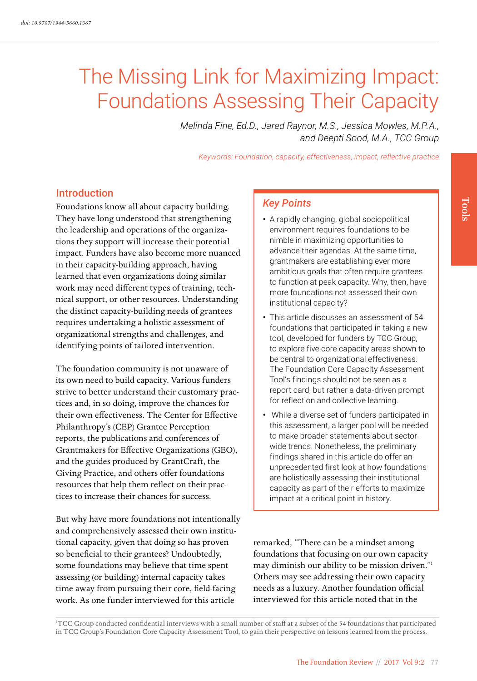# The Missing Link for Maximizing Impact: Foundations Assessing Their Capacity

*Melinda Fine, Ed.D., Jared Raynor, M.S., Jessica Mowles, M.P.A., and Deepti Sood, M.A., TCC Group*

*Keywords: Foundation, capacity, effectiveness, impact, reflective practice*

#### Introduction

Foundations know all about capacity building. They have long understood that strengthening the leadership and operations of the organizations they support will increase their potential impact. Funders have also become more nuanced in their capacity-building approach, having learned that even organizations doing similar work may need different types of training, technical support, or other resources. Understanding the distinct capacity-building needs of grantees requires undertaking a holistic assessment of organizational strengths and challenges, and identifying points of tailored intervention.

The foundation community is not unaware of its own need to build capacity. Various funders strive to better understand their customary practices and, in so doing, improve the chances for their own effectiveness. The Center for Effective Philanthropy's (CEP) Grantee Perception reports, the publications and conferences of Grantmakers for Effective Organizations (GEO), and the guides produced by GrantCraft, the Giving Practice, and others offer foundations resources that help them reflect on their practices to increase their chances for success.

But why have more foundations not intentionally and comprehensively assessed their own institutional capacity, given that doing so has proven so beneficial to their grantees? Undoubtedly, some foundations may believe that time spent assessing (or building) internal capacity takes time away from pursuing their core, field-facing work. As one funder interviewed for this article

#### *Key Points*

- A rapidly changing, global sociopolitical environment requires foundations to be nimble in maximizing opportunities to advance their agendas. At the same time, grantmakers are establishing ever more ambitious goals that often require grantees to function at peak capacity. Why, then, have more foundations not assessed their own institutional capacity?
- This article discusses an assessment of 54 foundations that participated in taking a new tool, developed for funders by TCC Group, to explore five core capacity areas shown to be central to organizational effectiveness. The Foundation Core Capacity Assessment Tool's findings should not be seen as a report card, but rather a data-driven prompt for reflection and collective learning.
- While a diverse set of funders participated in this assessment, a larger pool will be needed to make broader statements about sectorwide trends. Nonetheless, the preliminary findings shared in this article do offer an unprecedented first look at how foundations are holistically assessing their institutional capacity as part of their efforts to maximize impact at a critical point in history.

remarked, "There can be a mindset among foundations that focusing on our own capacity may diminish our ability to be mission driven."1 Others may see addressing their own capacity needs as a luxury. Another foundation official interviewed for this article noted that in the

1 TCC Group conducted confidential interviews with a small number of staff at a subset of the 54 foundations that participated in TCC Group's Foundation Core Capacity Assessment Tool, to gain their perspective on lessons learned from the process.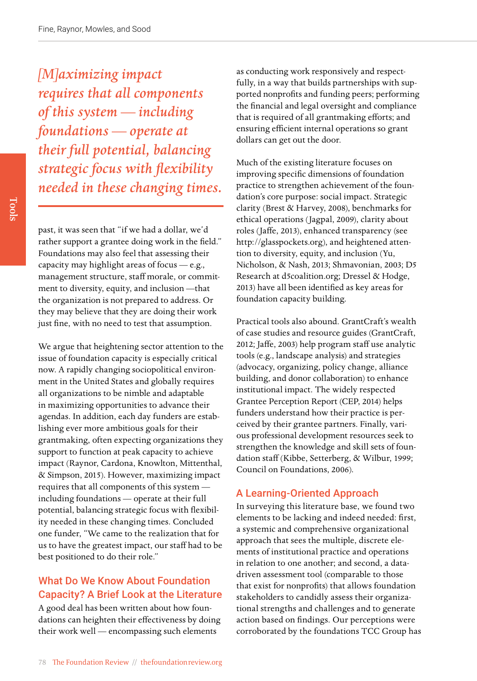*[M]aximizing impact requires that all components of this system — including foundations — operate at their full potential, balancing strategic focus with flexibility needed in these changing times.*

past, it was seen that "if we had a dollar, we'd rather support a grantee doing work in the field." Foundations may also feel that assessing their capacity may highlight areas of focus — e.g., management structure, staff morale, or commitment to diversity, equity, and inclusion —that the organization is not prepared to address. Or they may believe that they are doing their work just fine, with no need to test that assumption.

We argue that heightening sector attention to the issue of foundation capacity is especially critical now. A rapidly changing sociopolitical environment in the United States and globally requires all organizations to be nimble and adaptable in maximizing opportunities to advance their agendas. In addition, each day funders are establishing ever more ambitious goals for their grantmaking, often expecting organizations they support to function at peak capacity to achieve impact (Raynor, Cardona, Knowlton, Mittenthal, & Simpson, 2015). However, maximizing impact requires that all components of this system including foundations — operate at their full potential, balancing strategic focus with flexibility needed in these changing times. Concluded one funder, "We came to the realization that for us to have the greatest impact, our staff had to be best positioned to do their role."

#### What Do We Know About Foundation Capacity? A Brief Look at the Literature

A good deal has been written about how foundations can heighten their effectiveness by doing their work well — encompassing such elements

as conducting work responsively and respectfully, in a way that builds partnerships with supported nonprofits and funding peers; performing the financial and legal oversight and compliance that is required of all grantmaking efforts; and ensuring efficient internal operations so grant dollars can get out the door.

Much of the existing literature focuses on improving specific dimensions of foundation practice to strengthen achievement of the foundation's core purpose: social impact. Strategic clarity (Brest & Harvey, 2008), benchmarks for ethical operations (Jagpal, 2009), clarity about roles (Jaffe, 2013), enhanced transparency (see [http://glasspockets.org\)](http://glasspockets.org), and heightened attention to diversity, equity, and inclusion (Yu, Nicholson, & Nash, 2013; Shmavonian, 2003; D5 Research at d5coalition.org; Dressel & Hodge, 2013) have all been identified as key areas for foundation capacity building.

Practical tools also abound. GrantCraft's wealth of case studies and resource guides (GrantCraft, 2012; Jaffe, 2003) help program staff use analytic tools (e.g., landscape analysis) and strategies (advocacy, organizing, policy change, alliance building, and donor collaboration) to enhance institutional impact. The widely respected Grantee Perception Report (CEP, 2014) helps funders understand how their practice is perceived by their grantee partners. Finally, various professional development resources seek to strengthen the knowledge and skill sets of foundation staff (Kibbe, Setterberg, & Wilbur, 1999; Council on Foundations, 2006).

#### A Learning-Oriented Approach

In surveying this literature base, we found two elements to be lacking and indeed needed: first, a systemic and comprehensive organizational approach that sees the multiple, discrete elements of institutional practice and operations in relation to one another; and second, a datadriven assessment tool (comparable to those that exist for nonprofits) that allows foundation stakeholders to candidly assess their organizational strengths and challenges and to generate action based on findings. Our perceptions were corroborated by the foundations TCC Group has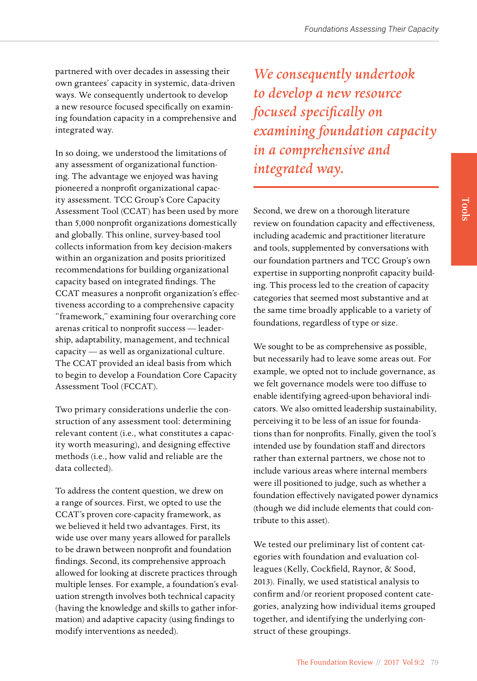partnered with over decades in assessing their own grantees' capacity in systemic, data-driven ways. We consequently undertook to develop a new resource focused specifically on examining foundation capacity in a comprehensive and integrated way.

In so doing, we understood the limitations of any assessment of organizational functioning. The advantage we enjoyed was having pioneered a nonprofit organizational capacity assessment. TCC Group's Core Capacity Assessment Tool (CCAT) has been used by more than 5,000 nonprofit organizations domestically and globally. This online, survey-based tool collects information from key decision-makers within an organization and posits prioritized recommendations for building organizational capacity based on integrated findings. The CCAT measures a nonprofit organization's effectiveness according to a comprehensive capacity "framework," examining four overarching core arenas critical to nonprofit success — leadership, adaptability, management, and technical capacity — as well as organizational culture. The CCAT provided an ideal basis from which to begin to develop a Foundation Core Capacity Assessment Tool (FCCAT).

Two primary considerations underlie the construction of any assessment tool: determining relevant content (i.e., what constitutes a capacity worth measuring), and designing effective methods (i.e., how valid and reliable are the data collected).

To address the content question, we drew on a range of sources. First, we opted to use the CCAT's proven core-capacity framework, as we believed it held two advantages. First, its wide use over many years allowed for parallels to be drawn between nonprofit and foundation findings. Second, its comprehensive approach allowed for looking at discrete practices through multiple lenses. For example, a foundation's evaluation strength involves both technical capacity (having the knowledge and skills to gather information) and adaptive capacity (using findings to modify interventions as needed).

*We consequently undertook to develop a new resource focused specifically on examining foundation capacity in a comprehensive and integrated way.* 

Second, we drew on a thorough literature review on foundation capacity and effectiveness, including academic and practitioner literature and tools, supplemented by conversations with our foundation partners and TCC Group's own expertise in supporting nonprofit capacity building. This process led to the creation of capacity categories that seemed most substantive and at the same time broadly applicable to a variety of foundations, regardless of type or size.

We sought to be as comprehensive as possible, but necessarily had to leave some areas out. For example, we opted not to include governance, as we felt governance models were too diffuse to enable identifying agreed-upon behavioral indicators. We also omitted leadership sustainability, perceiving it to be less of an issue for foundations than for nonprofits. Finally, given the tool's intended use by foundation staff and directors rather than external partners, we chose not to include various areas where internal members were ill positioned to judge, such as whether a foundation effectively navigated power dynamics (though we did include elements that could contribute to this asset).

We tested our preliminary list of content categories with foundation and evaluation colleagues (Kelly, Cockfield, Raynor, & Sood, 2013). Finally, we used statistical analysis to confirm and/or reorient proposed content categories, analyzing how individual items grouped together, and identifying the underlying construct of these groupings.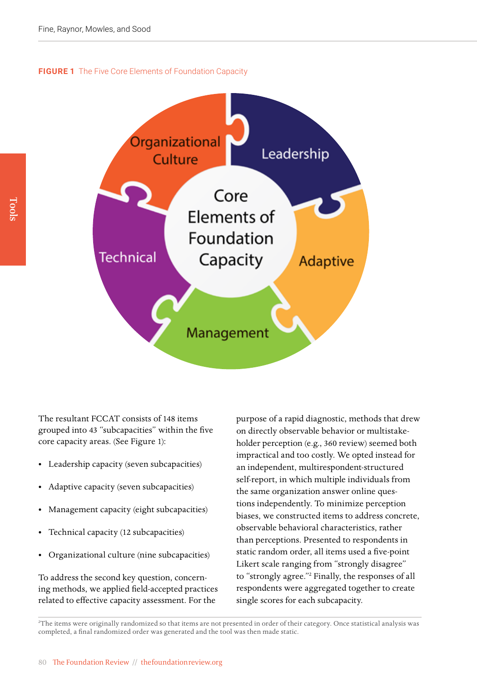**FIGURE 1** The Five Core Elements of Foundation Capacity



The resultant FCCAT consists of 148 items grouped into 43 "subcapacities" within the five core capacity areas. (See Figure 1):

- Leadership capacity (seven subcapacities)
- Adaptive capacity (seven subcapacities)
- Management capacity (eight subcapacities)
- Technical capacity (12 subcapacities)
- Organizational culture (nine subcapacities)

To address the second key question, concerning methods, we applied field-accepted practices related to effective capacity assessment. For the

purpose of a rapid diagnostic, methods that drew on directly observable behavior or multistakeholder perception (e.g., 360 review) seemed both impractical and too costly. We opted instead for an independent, multirespondent-structured self-report, in which multiple individuals from the same organization answer online questions independently. To minimize perception biases, we constructed items to address concrete, observable behavioral characteristics, rather than perceptions. Presented to respondents in static random order, all items used a five-point Likert scale ranging from "strongly disagree" to "strongly agree."2 Finally, the responses of all respondents were aggregated together to create single scores for each subcapacity.

2 The items were originally randomized so that items are not presented in order of their category. Once statistical analysis was completed, a final randomized order was generated and the tool was then made static.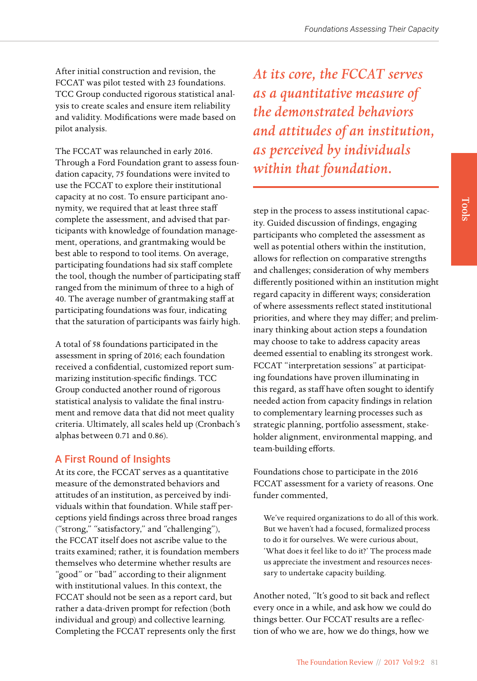After initial construction and revision, the FCCAT was pilot tested with 23 foundations. TCC Group conducted rigorous statistical analysis to create scales and ensure item reliability and validity. Modifications were made based on pilot analysis.

The FCCAT was relaunched in early 2016. Through a Ford Foundation grant to assess foundation capacity, 75 foundations were invited to use the FCCAT to explore their institutional capacity at no cost. To ensure participant anonymity, we required that at least three staff complete the assessment, and advised that participants with knowledge of foundation management, operations, and grantmaking would be best able to respond to tool items. On average, participating foundations had six staff complete the tool, though the number of participating staff ranged from the minimum of three to a high of 40. The average number of grantmaking staff at participating foundations was four, indicating that the saturation of participants was fairly high.

A total of 58 foundations participated in the assessment in spring of 2016; each foundation received a confidential, customized report summarizing institution-specific findings. TCC Group conducted another round of rigorous statistical analysis to validate the final instrument and remove data that did not meet quality criteria. Ultimately, all scales held up (Cronbach's alphas between 0.71 and 0.86).

#### A First Round of Insights

At its core, the FCCAT serves as a quantitative measure of the demonstrated behaviors and attitudes of an institution, as perceived by individuals within that foundation. While staff perceptions yield findings across three broad ranges ("strong," "satisfactory," and "challenging"), the FCCAT itself does not ascribe value to the traits examined; rather, it is foundation members themselves who determine whether results are "good" or "bad" according to their alignment with institutional values. In this context, the FCCAT should not be seen as a report card, but rather a data-driven prompt for refection (both individual and group) and collective learning. Completing the FCCAT represents only the first

*At its core, the FCCAT serves as a quantitative measure of the demonstrated behaviors and attitudes of an institution, as perceived by individuals within that foundation.*

step in the process to assess institutional capacity. Guided discussion of findings, engaging participants who completed the assessment as well as potential others within the institution, allows for reflection on comparative strengths and challenges; consideration of why members differently positioned within an institution might regard capacity in different ways; consideration of where assessments reflect stated institutional priorities, and where they may differ; and preliminary thinking about action steps a foundation may choose to take to address capacity areas deemed essential to enabling its strongest work. FCCAT "interpretation sessions" at participating foundations have proven illuminating in this regard, as staff have often sought to identify needed action from capacity findings in relation to complementary learning processes such as strategic planning, portfolio assessment, stakeholder alignment, environmental mapping, and team-building efforts.

Foundations chose to participate in the 2016 FCCAT assessment for a variety of reasons. One funder commented,

We've required organizations to do all of this work. But we haven't had a focused, formalized process to do it for ourselves. We were curious about, 'What does it feel like to do it?' The process made us appreciate the investment and resources necessary to undertake capacity building.

Another noted, "It's good to sit back and reflect every once in a while, and ask how we could do things better. Our FCCAT results are a reflection of who we are, how we do things, how we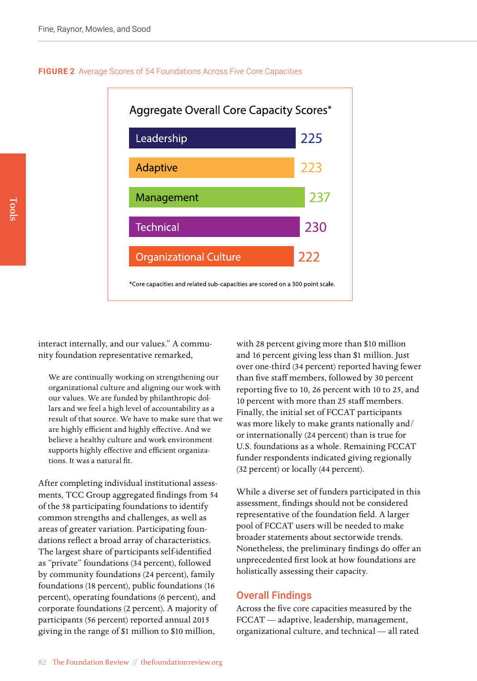



interact internally, and our values." A community foundation representative remarked,

We are continually working on strengthening our organizational culture and aligning our work with our values. We are funded by philanthropic dollars and we feel a high level of accountability as a result of that source. We have to make sure that we are highly efficient and highly effective. And we believe a healthy culture and work environment supports highly effective and efficient organizations. It was a natural fit.

After completing individual institutional assessments, TCC Group aggregated findings from 54 of the 58 participating foundations to identify common strengths and challenges, as well as areas of greater variation. Participating foundations reflect a broad array of characteristics. The largest share of participants self-identified as "private" foundations (34 percent), followed by community foundations (24 percent), family foundations (18 percent), public foundations (16 percent), operating foundations (6 percent), and corporate foundations (2 percent). A majority of participants (56 percent) reported annual 2015 giving in the range of \$1 million to \$10 million,

with 28 percent giving more than \$10 million and 16 percent giving less than \$1 million. Just over one-third (34 percent) reported having fewer than five staff members, followed by 30 percent reporting five to 10, 26 percent with 10 to 25, and 10 percent with more than 25 staff members. Finally, the initial set of FCCAT participants was more likely to make grants nationally and/ or internationally (24 percent) than is true for U.S. foundations as a whole. Remaining FCCAT funder respondents indicated giving regionally (32 percent) or locally (44 percent).

While a diverse set of funders participated in this assessment, findings should not be considered representative of the foundation field. A larger pool of FCCAT users will be needed to make broader statements about sectorwide trends. Nonetheless, the preliminary findings do offer an unprecedented first look at how foundations are holistically assessing their capacity.

#### Overall Findings

Across the five core capacities measured by the FCCAT — adaptive, leadership, management, organizational culture, and technical — all rated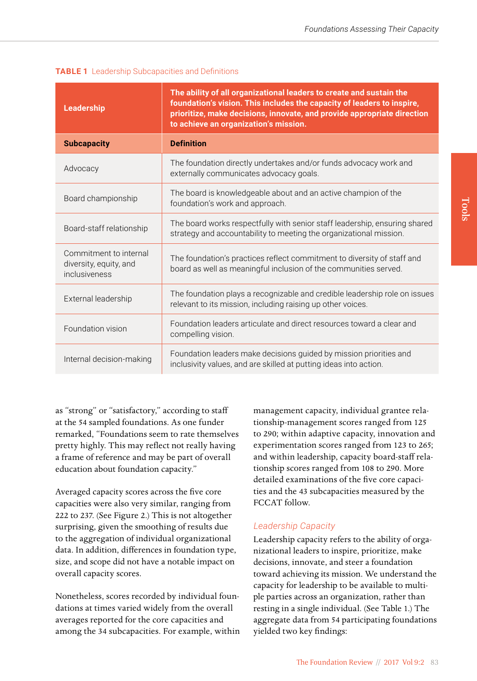| <b>Leadership</b>                                                 | The ability of all organizational leaders to create and sustain the<br>foundation's vision. This includes the capacity of leaders to inspire,<br>prioritize, make decisions, innovate, and provide appropriate direction<br>to achieve an organization's mission. |
|-------------------------------------------------------------------|-------------------------------------------------------------------------------------------------------------------------------------------------------------------------------------------------------------------------------------------------------------------|
| <b>Subcapacity</b>                                                | <b>Definition</b>                                                                                                                                                                                                                                                 |
| Advocacy                                                          | The foundation directly undertakes and/or funds advocacy work and<br>externally communicates advocacy goals.                                                                                                                                                      |
| Board championship                                                | The board is knowledgeable about and an active champion of the<br>foundation's work and approach.                                                                                                                                                                 |
| Board-staff relationship                                          | The board works respectfully with senior staff leadership, ensuring shared<br>strategy and accountability to meeting the organizational mission.                                                                                                                  |
| Commitment to internal<br>diversity, equity, and<br>inclusiveness | The foundation's practices reflect commitment to diversity of staff and<br>board as well as meaningful inclusion of the communities served.                                                                                                                       |
| External leadership                                               | The foundation plays a recognizable and credible leadership role on issues<br>relevant to its mission, including raising up other voices.                                                                                                                         |
| Foundation vision                                                 | Foundation leaders articulate and direct resources toward a clear and<br>compelling vision.                                                                                                                                                                       |
| Internal decision-making                                          | Foundation leaders make decisions guided by mission priorities and<br>inclusivity values, and are skilled at putting ideas into action.                                                                                                                           |

|  | <b>TABLE 1</b> Leadership Subcapacities and Definitions |
|--|---------------------------------------------------------|
|  |                                                         |

as "strong" or "satisfactory," according to staff at the 54 sampled foundations. As one funder remarked, "Foundations seem to rate themselves pretty highly. This may reflect not really having a frame of reference and may be part of overall education about foundation capacity."

Averaged capacity scores across the five core capacities were also very similar, ranging from 222 to 237. (See Figure 2.) This is not altogether surprising, given the smoothing of results due to the aggregation of individual organizational data. In addition, differences in foundation type, size, and scope did not have a notable impact on overall capacity scores.

Nonetheless, scores recorded by individual foundations at times varied widely from the overall averages reported for the core capacities and among the 34 subcapacities. For example, within management capacity, individual grantee relationship-management scores ranged from 125 to 290; within adaptive capacity, innovation and experimentation scores ranged from 123 to 265; and within leadership, capacity board-staff relationship scores ranged from 108 to 290. More detailed examinations of the five core capacities and the 43 subcapacities measured by the FCCAT follow.

#### *Leadership Capacity*

Leadership capacity refers to the ability of organizational leaders to inspire, prioritize, make decisions, innovate, and steer a foundation toward achieving its mission. We understand the capacity for leadership to be available to multiple parties across an organization, rather than resting in a single individual. (See Table 1.) The aggregate data from 54 participating foundations yielded two key findings: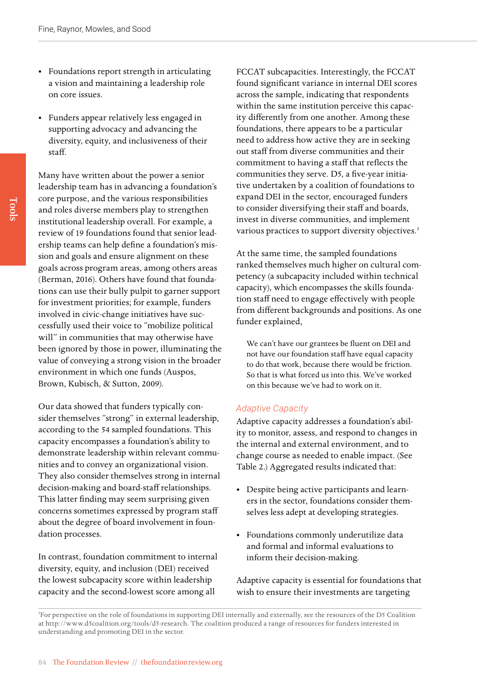- Foundations report strength in articulating a vision and maintaining a leadership role on core issues.
- Funders appear relatively less engaged in supporting advocacy and advancing the diversity, equity, and inclusiveness of their staff.

Many have written about the power a senior leadership team has in advancing a foundation's core purpose, and the various responsibilities and roles diverse members play to strengthen institutional leadership overall. For example, a review of 19 foundations found that senior leadership teams can help define a foundation's mission and goals and ensure alignment on these goals across program areas, among others areas (Berman, 2016). Others have found that foundations can use their bully pulpit to garner support for investment priorities; for example, funders involved in civic-change initiatives have successfully used their voice to "mobilize political will" in communities that may otherwise have been ignored by those in power, illuminating the value of conveying a strong vision in the broader environment in which one funds (Auspos, Brown, Kubisch, & Sutton, 2009).

Our data showed that funders typically consider themselves "strong" in external leadership, according to the 54 sampled foundations. This capacity encompasses a foundation's ability to demonstrate leadership within relevant communities and to convey an organizational vision. They also consider themselves strong in internal decision-making and board-staff relationships. This latter finding may seem surprising given concerns sometimes expressed by program staff about the degree of board involvement in foundation processes.

In contrast, foundation commitment to internal diversity, equity, and inclusion (DEI) received the lowest subcapacity score within leadership capacity and the second-lowest score among all

FCCAT subcapacities. Interestingly, the FCCAT found significant variance in internal DEI scores across the sample, indicating that respondents within the same institution perceive this capacity differently from one another. Among these foundations, there appears to be a particular need to address how active they are in seeking out staff from diverse communities and their commitment to having a staff that reflects the communities they serve. D5, a five-year initiative undertaken by a coalition of foundations to expand DEI in the sector, encouraged funders to consider diversifying their staff and boards, invest in diverse communities, and implement various practices to support diversity objectives.<sup>3</sup>

At the same time, the sampled foundations ranked themselves much higher on cultural competency (a subcapacity included within technical capacity), which encompasses the skills foundation staff need to engage effectively with people from different backgrounds and positions. As one funder explained,

We can't have our grantees be fluent on DEI and not have our foundation staff have equal capacity to do that work, because there would be friction. So that is what forced us into this. We've worked on this because we've had to work on it.

#### *Adaptive Capacity*

Adaptive capacity addresses a foundation's ability to monitor, assess, and respond to changes in the internal and external environment, and to change course as needed to enable impact. (See Table 2.) Aggregated results indicated that:

- Despite being active participants and learners in the sector, foundations consider themselves less adept at developing strategies.
- Foundations commonly underutilize data and formal and informal evaluations to inform their decision-making.

Adaptive capacity is essential for foundations that wish to ensure their investments are targeting

<sup>3</sup> For perspective on the role of foundations in supporting DEI internally and externally, see the resources of the D5 Coalition at [http://www.d5coalition.org/tools/d5-research.](http://www.d5coalition.org/tools/d5-research) The coalition produced a range of resources for funders interested in understanding and promoting DEI in the sector.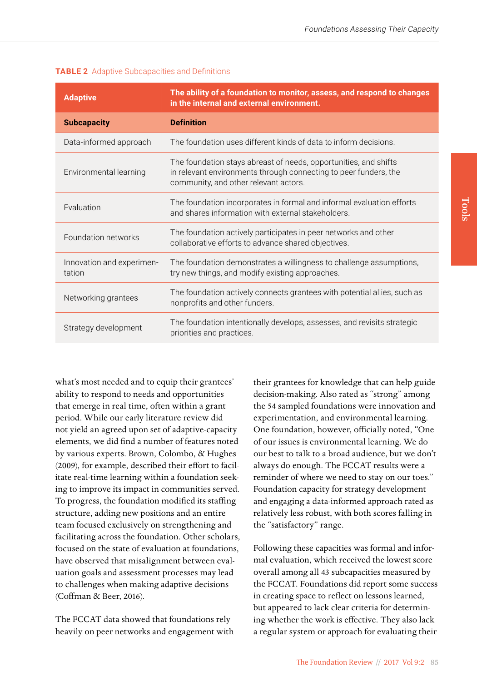| <b>Adaptive</b>                     | The ability of a foundation to monitor, assess, and respond to changes<br>in the internal and external environment.                                                           |
|-------------------------------------|-------------------------------------------------------------------------------------------------------------------------------------------------------------------------------|
| <b>Subcapacity</b>                  | <b>Definition</b>                                                                                                                                                             |
| Data-informed approach              | The foundation uses different kinds of data to inform decisions.                                                                                                              |
| Environmental learning              | The foundation stays abreast of needs, opportunities, and shifts<br>in relevant environments through connecting to peer funders, the<br>community, and other relevant actors. |
| Evaluation                          | The foundation incorporates in formal and informal evaluation efforts<br>and shares information with external stakeholders.                                                   |
| Foundation networks                 | The foundation actively participates in peer networks and other<br>collaborative efforts to advance shared objectives.                                                        |
| Innovation and experimen-<br>tation | The foundation demonstrates a willingness to challenge assumptions,<br>try new things, and modify existing approaches.                                                        |
| Networking grantees                 | The foundation actively connects grantees with potential allies, such as<br>nonprofits and other funders.                                                                     |
| Strategy development                | The foundation intentionally develops, assesses, and revisits strategic<br>priorities and practices.                                                                          |

#### **TABLE 2** Adaptive Subcapacities and Definitions

what's most needed and to equip their grantees' ability to respond to needs and opportunities that emerge in real time, often within a grant period. While our early literature review did not yield an agreed upon set of adaptive-capacity elements, we did find a number of features noted by various experts. Brown, Colombo, & Hughes (2009), for example, described their effort to facilitate real-time learning within a foundation seeking to improve its impact in communities served. To progress, the foundation modified its staffing structure, adding new positions and an entire team focused exclusively on strengthening and facilitating across the foundation. Other scholars, focused on the state of evaluation at foundations, have observed that misalignment between evaluation goals and assessment processes may lead to challenges when making adaptive decisions (Coffman & Beer, 2016).

The FCCAT data showed that foundations rely heavily on peer networks and engagement with their grantees for knowledge that can help guide decision-making. Also rated as "strong" among the 54 sampled foundations were innovation and experimentation, and environmental learning. One foundation, however, officially noted, "One of our issues is environmental learning. We do our best to talk to a broad audience, but we don't always do enough. The FCCAT results were a reminder of where we need to stay on our toes." Foundation capacity for strategy development and engaging a data-informed approach rated as relatively less robust, with both scores falling in the "satisfactory" range.

Following these capacities was formal and informal evaluation, which received the lowest score overall among all 43 subcapacities measured by the FCCAT. Foundations did report some success in creating space to reflect on lessons learned, but appeared to lack clear criteria for determining whether the work is effective. They also lack a regular system or approach for evaluating their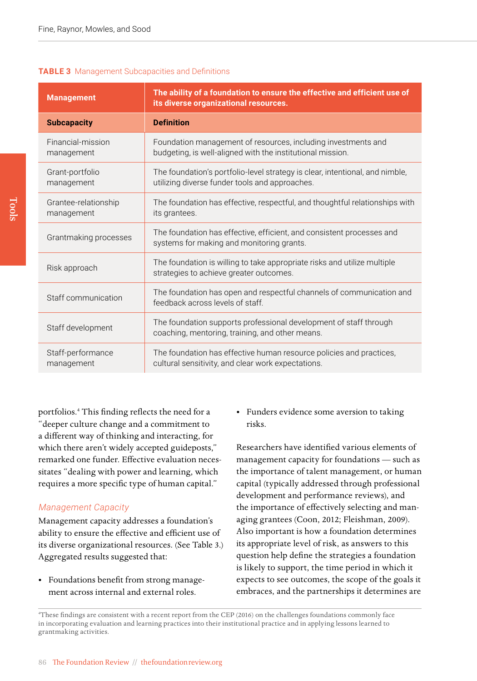#### **TABLE 3** Management Subcapacities and Definitions

| <b>Management</b>                  | The ability of a foundation to ensure the effective and efficient use of<br>its diverse organizational resources.              |  |
|------------------------------------|--------------------------------------------------------------------------------------------------------------------------------|--|
| <b>Subcapacity</b>                 | <b>Definition</b>                                                                                                              |  |
| Financial-mission<br>management    | Foundation management of resources, including investments and<br>budgeting, is well-aligned with the institutional mission.    |  |
| Grant-portfolio<br>management      | The foundation's portfolio-level strategy is clear, intentional, and nimble,<br>utilizing diverse funder tools and approaches. |  |
| Grantee-relationship<br>management | The foundation has effective, respectful, and thoughtful relationships with<br>its grantees.                                   |  |
| Grantmaking processes              | The foundation has effective, efficient, and consistent processes and<br>systems for making and monitoring grants.             |  |
| Risk approach                      | The foundation is willing to take appropriate risks and utilize multiple<br>strategies to achieve greater outcomes.            |  |
| Staff communication                | The foundation has open and respectful channels of communication and<br>feedback across levels of staff.                       |  |
| Staff development                  | The foundation supports professional development of staff through<br>coaching, mentoring, training, and other means.           |  |
| Staff-performance<br>management    | The foundation has effective human resource policies and practices,<br>cultural sensitivity, and clear work expectations.      |  |

portfolios.4 This finding reflects the need for a "deeper culture change and a commitment to a different way of thinking and interacting, for which there aren't widely accepted guideposts," remarked one funder. Effective evaluation necessitates "dealing with power and learning, which requires a more specific type of human capital."

#### *Management Capacity*

Management capacity addresses a foundation's ability to ensure the effective and efficient use of its diverse organizational resources. (See Table 3.) Aggregated results suggested that:

• Foundations benefit from strong management across internal and external roles.

• Funders evidence some aversion to taking risks.

Researchers have identified various elements of management capacity for foundations — such as the importance of talent management, or human capital (typically addressed through professional development and performance reviews), and the importance of effectively selecting and managing grantees (Coon, 2012; Fleishman, 2009). Also important is how a foundation determines its appropriate level of risk, as answers to this question help define the strategies a foundation is likely to support, the time period in which it expects to see outcomes, the scope of the goals it embraces, and the partnerships it determines are

4 These findings are consistent with a recent report from the CEP (2016) on the challenges foundations commonly face in incorporating evaluation and learning practices into their institutional practice and in applying lessons learned to grantmaking activities.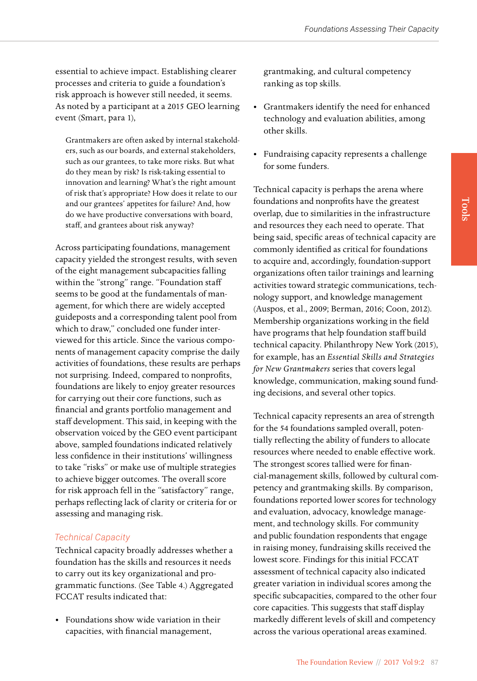essential to achieve impact. Establishing clearer processes and criteria to guide a foundation's risk approach is however still needed, it seems. As noted by a participant at a 2015 GEO learning event (Smart, para 1),

Grantmakers are often asked by internal stakeholders, such as our boards, and external stakeholders, such as our grantees, to take more risks. But what do they mean by risk? Is risk-taking essential to innovation and learning? What's the right amount of risk that's appropriate? How does it relate to our and our grantees' appetites for failure? And, how do we have productive conversations with board, staff, and grantees about risk anyway?

Across participating foundations, management capacity yielded the strongest results, with seven of the eight management subcapacities falling within the "strong" range. "Foundation staff seems to be good at the fundamentals of management, for which there are widely accepted guideposts and a corresponding talent pool from which to draw," concluded one funder interviewed for this article. Since the various components of management capacity comprise the daily activities of foundations, these results are perhaps not surprising. Indeed, compared to nonprofits, foundations are likely to enjoy greater resources for carrying out their core functions, such as financial and grants portfolio management and staff development. This said, in keeping with the observation voiced by the GEO event participant above, sampled foundations indicated relatively less confidence in their institutions' willingness to take "risks" or make use of multiple strategies to achieve bigger outcomes. The overall score for risk approach fell in the "satisfactory" range, perhaps reflecting lack of clarity or criteria for or assessing and managing risk.

#### *Technical Capacity*

Technical capacity broadly addresses whether a foundation has the skills and resources it needs to carry out its key organizational and programmatic functions. (See Table 4.) Aggregated FCCAT results indicated that:

• Foundations show wide variation in their capacities, with financial management,

grantmaking, and cultural competency ranking as top skills.

- Grantmakers identify the need for enhanced technology and evaluation abilities, among other skills.
- Fundraising capacity represents a challenge for some funders.

Technical capacity is perhaps the arena where foundations and nonprofits have the greatest overlap, due to similarities in the infrastructure and resources they each need to operate. That being said, specific areas of technical capacity are commonly identified as critical for foundations to acquire and, accordingly, foundation-support organizations often tailor trainings and learning activities toward strategic communications, technology support, and knowledge management (Auspos, et al., 2009; Berman, 2016; Coon, 2012). Membership organizations working in the field have programs that help foundation staff build technical capacity. Philanthropy New York (2015), for example, has an *Essential Skills and Strategies for New Grantmakers* series that covers legal knowledge, communication, making sound funding decisions, and several other topics.

Technical capacity represents an area of strength for the 54 foundations sampled overall, potentially reflecting the ability of funders to allocate resources where needed to enable effective work. The strongest scores tallied were for financial-management skills, followed by cultural competency and grantmaking skills. By comparison, foundations reported lower scores for technology and evaluation, advocacy, knowledge management, and technology skills. For community and public foundation respondents that engage in raising money, fundraising skills received the lowest score. Findings for this initial FCCAT assessment of technical capacity also indicated greater variation in individual scores among the specific subcapacities, compared to the other four core capacities. This suggests that staff display markedly different levels of skill and competency across the various operational areas examined.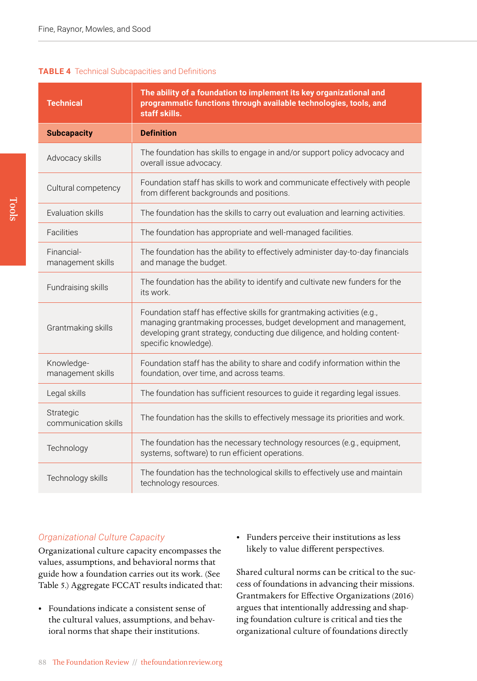#### **TABLE 4** Technical Subcapacities and Definitions

| <b>Technical</b>                  | The ability of a foundation to implement its key organizational and<br>programmatic functions through available technologies, tools, and<br>staff skills.                                                                                          |
|-----------------------------------|----------------------------------------------------------------------------------------------------------------------------------------------------------------------------------------------------------------------------------------------------|
| <b>Subcapacity</b>                | <b>Definition</b>                                                                                                                                                                                                                                  |
| Advocacy skills                   | The foundation has skills to engage in and/or support policy advocacy and<br>overall issue advocacy.                                                                                                                                               |
| Cultural competency               | Foundation staff has skills to work and communicate effectively with people<br>from different backgrounds and positions.                                                                                                                           |
| Evaluation skills                 | The foundation has the skills to carry out evaluation and learning activities.                                                                                                                                                                     |
| Facilities                        | The foundation has appropriate and well-managed facilities.                                                                                                                                                                                        |
| Financial-<br>management skills   | The foundation has the ability to effectively administer day-to-day financials<br>and manage the budget.                                                                                                                                           |
| Fundraising skills                | The foundation has the ability to identify and cultivate new funders for the<br>its work.                                                                                                                                                          |
| Grantmaking skills                | Foundation staff has effective skills for grantmaking activities (e.g.,<br>managing grantmaking processes, budget development and management,<br>developing grant strategy, conducting due diligence, and holding content-<br>specific knowledge). |
| Knowledge-<br>management skills   | Foundation staff has the ability to share and codify information within the<br>foundation, over time, and across teams.                                                                                                                            |
| Legal skills                      | The foundation has sufficient resources to guide it regarding legal issues.                                                                                                                                                                        |
| Strategic<br>communication skills | The foundation has the skills to effectively message its priorities and work.                                                                                                                                                                      |
| Technology                        | The foundation has the necessary technology resources (e.g., equipment,<br>systems, software) to run efficient operations.                                                                                                                         |
| Technology skills                 | The foundation has the technological skills to effectively use and maintain<br>technology resources.                                                                                                                                               |

#### *Organizational Culture Capacity*

Organizational culture capacity encompasses the values, assumptions, and behavioral norms that guide how a foundation carries out its work. (See Table 5.) Aggregate FCCAT results indicated that:

- Foundations indicate a consistent sense of the cultural values, assumptions, and behavioral norms that shape their institutions.
- Funders perceive their institutions as less likely to value different perspectives.

Shared cultural norms can be critical to the success of foundations in advancing their missions. Grantmakers for Effective Organizations (2016) argues that intentionally addressing and shaping foundation culture is critical and ties the organizational culture of foundations directly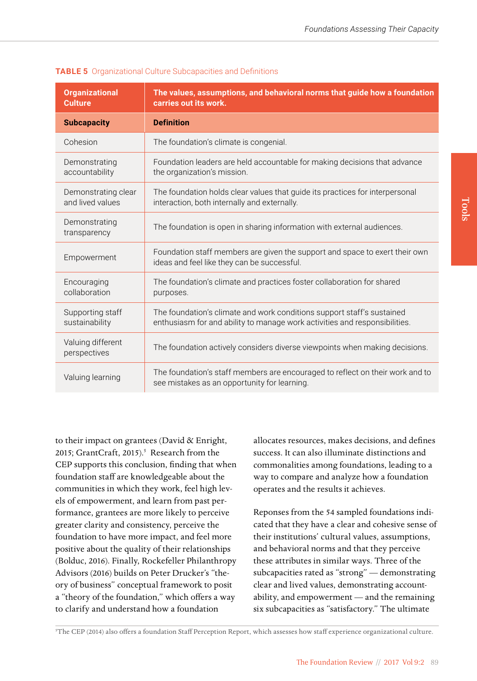| <b>Organizational</b><br><b>Culture</b> | The values, assumptions, and behavioral norms that guide how a foundation<br>carries out its work.                                                   |
|-----------------------------------------|------------------------------------------------------------------------------------------------------------------------------------------------------|
| <b>Subcapacity</b>                      | <b>Definition</b>                                                                                                                                    |
| Cohesion                                | The foundation's climate is congenial.                                                                                                               |
| Demonstrating<br>accountability         | Foundation leaders are held accountable for making decisions that advance<br>the organization's mission.                                             |
| Demonstrating clear<br>and lived values | The foundation holds clear values that guide its practices for interpersonal<br>interaction, both internally and externally.                         |
| Demonstrating<br>transparency           | The foundation is open in sharing information with external audiences.                                                                               |
| Empowerment                             | Foundation staff members are given the support and space to exert their own<br>ideas and feel like they can be successful.                           |
| Encouraging<br>collaboration            | The foundation's climate and practices foster collaboration for shared<br>purposes.                                                                  |
| Supporting staff<br>sustainability      | The foundation's climate and work conditions support staff's sustained<br>enthusiasm for and ability to manage work activities and responsibilities. |
| Valuing different<br>perspectives       | The foundation actively considers diverse viewpoints when making decisions.                                                                          |
| Valuing learning                        | The foundation's staff members are encouraged to reflect on their work and to<br>see mistakes as an opportunity for learning.                        |

**TABLE 5** Organizational Culture Subcapacities and Definitions

to their impact on grantees (David & Enright, 2015; GrantCraft, 2015).<sup>5</sup> Research from the CEP supports this conclusion, finding that when foundation staff are knowledgeable about the communities in which they work, feel high levels of empowerment, and learn from past performance, grantees are more likely to perceive greater clarity and consistency, perceive the foundation to have more impact, and feel more positive about the quality of their relationships (Bolduc, 2016). Finally, Rockefeller Philanthropy Advisors (2016) builds on Peter Drucker's "theory of business" conceptual framework to posit a "theory of the foundation," which offers a way to clarify and understand how a foundation

allocates resources, makes decisions, and defines success. It can also illuminate distinctions and commonalities among foundations, leading to a way to compare and analyze how a foundation operates and the results it achieves.

Reponses from the 54 sampled foundations indicated that they have a clear and cohesive sense of their institutions' cultural values, assumptions, and behavioral norms and that they perceive these attributes in similar ways. Three of the subcapacities rated as "strong" — demonstrating clear and lived values, demonstrating accountability, and empowerment — and the remaining six subcapacities as "satisfactory." The ultimate

5 The CEP (2014) also offers a foundation Staff Perception Report, which assesses how staff experience organizational culture.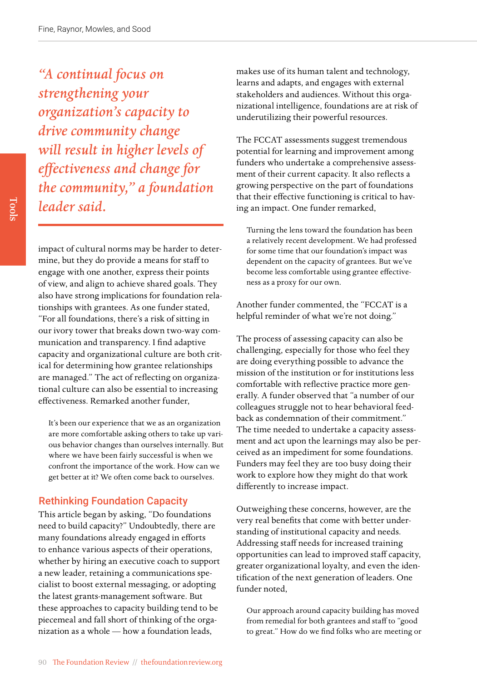*"A continual focus on strengthening your organization's capacity to drive community change will result in higher levels of effectiveness and change for the community," a foundation leader said.* 

impact of cultural norms may be harder to determine, but they do provide a means for staff to engage with one another, express their points of view, and align to achieve shared goals. They also have strong implications for foundation relationships with grantees. As one funder stated, "For all foundations, there's a risk of sitting in our ivory tower that breaks down two-way communication and transparency. I find adaptive capacity and organizational culture are both critical for determining how grantee relationships are managed." The act of reflecting on organizational culture can also be essential to increasing effectiveness. Remarked another funder,

It's been our experience that we as an organization are more comfortable asking others to take up various behavior changes than ourselves internally. But where we have been fairly successful is when we confront the importance of the work. How can we get better at it? We often come back to ourselves.

#### Rethinking Foundation Capacity

This article began by asking, "Do foundations need to build capacity?" Undoubtedly, there are many foundations already engaged in efforts to enhance various aspects of their operations, whether by hiring an executive coach to support a new leader, retaining a communications specialist to boost external messaging, or adopting the latest grants-management software. But these approaches to capacity building tend to be piecemeal and fall short of thinking of the organization as a whole — how a foundation leads,

makes use of its human talent and technology, learns and adapts, and engages with external stakeholders and audiences. Without this organizational intelligence, foundations are at risk of underutilizing their powerful resources.

The FCCAT assessments suggest tremendous potential for learning and improvement among funders who undertake a comprehensive assessment of their current capacity. It also reflects a growing perspective on the part of foundations that their effective functioning is critical to having an impact. One funder remarked,

Turning the lens toward the foundation has been a relatively recent development. We had professed for some time that our foundation's impact was dependent on the capacity of grantees. But we've become less comfortable using grantee effectiveness as a proxy for our own.

Another funder commented, the "FCCAT is a helpful reminder of what we're not doing."

The process of assessing capacity can also be challenging, especially for those who feel they are doing everything possible to advance the mission of the institution or for institutions less comfortable with reflective practice more generally. A funder observed that "a number of our colleagues struggle not to hear behavioral feedback as condemnation of their commitment." The time needed to undertake a capacity assessment and act upon the learnings may also be perceived as an impediment for some foundations. Funders may feel they are too busy doing their work to explore how they might do that work differently to increase impact.

Outweighing these concerns, however, are the very real benefits that come with better understanding of institutional capacity and needs. Addressing staff needs for increased training opportunities can lead to improved staff capacity, greater organizational loyalty, and even the identification of the next generation of leaders. One funder noted,

Our approach around capacity building has moved from remedial for both grantees and staff to "good to great." How do we find folks who are meeting or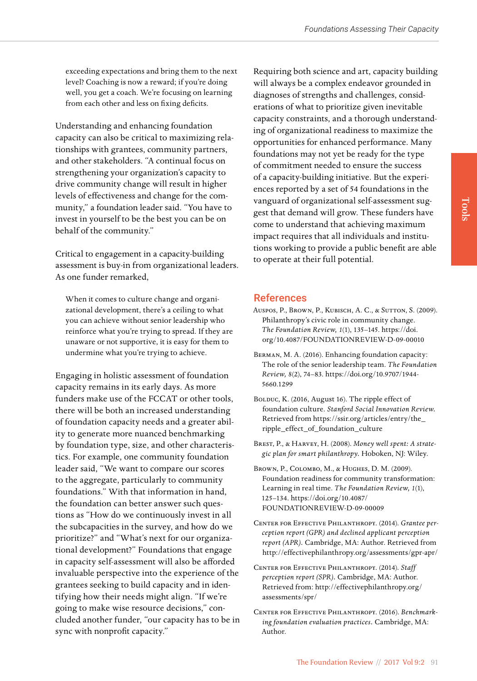exceeding expectations and bring them to the next level? Coaching is now a reward; if you're doing well, you get a coach. We're focusing on learning from each other and less on fixing deficits.

Understanding and enhancing foundation capacity can also be critical to maximizing relationships with grantees, community partners, and other stakeholders. "A continual focus on strengthening your organization's capacity to drive community change will result in higher levels of effectiveness and change for the community," a foundation leader said. "You have to invest in yourself to be the best you can be on behalf of the community."

Critical to engagement in a capacity-building assessment is buy-in from organizational leaders. As one funder remarked,

When it comes to culture change and organizational development, there's a ceiling to what you can achieve without senior leadership who reinforce what you're trying to spread. If they are unaware or not supportive, it is easy for them to undermine what you're trying to achieve.

Engaging in holistic assessment of foundation capacity remains in its early days. As more funders make use of the FCCAT or other tools, there will be both an increased understanding of foundation capacity needs and a greater ability to generate more nuanced benchmarking by foundation type, size, and other characteristics. For example, one community foundation leader said, "We want to compare our scores to the aggregate, particularly to community foundations." With that information in hand, the foundation can better answer such questions as "How do we continuously invest in all the subcapacities in the survey, and how do we prioritize?" and "What's next for our organizational development?" Foundations that engage in capacity self-assessment will also be afforded invaluable perspective into the experience of the grantees seeking to build capacity and in identifying how their needs might align. "If we're going to make wise resource decisions," concluded another funder, "our capacity has to be in sync with nonprofit capacity."

Requiring both science and art, capacity building will always be a complex endeavor grounded in diagnoses of strengths and challenges, considerations of what to prioritize given inevitable capacity constraints, and a thorough understanding of organizational readiness to maximize the opportunities for enhanced performance. Many foundations may not yet be ready for the type of commitment needed to ensure the success of a capacity-building initiative. But the experiences reported by a set of 54 foundations in the vanguard of organizational self-assessment suggest that demand will grow. These funders have come to understand that achieving maximum impact requires that all individuals and institutions working to provide a public benefit are able to operate at their full potential.

#### References

- Auspos, P., Brown, P., Kubisch, A. C., & Sutton, S. (2009). Philanthropy's civic role in community change. *The Foundation Review, 1*(1), 135–145. [https://doi.](https://doi.org/10.4087/FOUNDATIONREVIEW-D-09-00010) [org/10.4087/FOUNDATIONREVIEW-D-09-00010](https://doi.org/10.4087/FOUNDATIONREVIEW-D-09-00010)
- Berman, M. A. (2016). Enhancing foundation capacity: The role of the senior leadership team. *The Foundation Review, 8*(2), 74–83. [https://doi.org/10.9707/1944-](https://doi.org/10.9707/1944-5660.1299) [5660.1299](https://doi.org/10.9707/1944-5660.1299)
- BOLDUC, K. (2016, August 16). The ripple effect of foundation culture. *Stanford Social Innovation Review.*  Retrieved from [https://ssir.org/articles/entry/the\\_](https://ssir.org/articles/entry/the_ripple_effect_of_foundation_culture) [ripple\\_effect\\_of\\_foundation\\_culture](https://ssir.org/articles/entry/the_ripple_effect_of_foundation_culture)
- Brest, P., & Harvey, H. (2008). *Money well spent: A strategic plan for smart philanthropy.* Hoboken, NJ: Wiley.
- Brown, P., Colombo, M., & Hughes, D. M. (2009). Foundation readiness for community transformation: Learning in real time. *The Foundation Review, 1*(1), 125–134. [https://doi.org/10.4087/](https://doi.org/10.4087/FOUNDATIONREVIEW-D-09-00009) [FOUNDATIONREVIEW-D-09-00009](https://doi.org/10.4087/FOUNDATIONREVIEW-D-09-00009)
- Center for Effective Philanthropy. (2014). *Grantee perception report (GPR) and declined applicant perception report (APR).* Cambridge, MA: Author. Retrieved from <http://effectivephilanthropy.org/assessments/gpr-apr/>
- Center for Effective Philanthropy. (2014). *Staff perception report (SPR).* Cambridge, MA: Author. Retrieved from: [http://effectivephilanthropy.org/](http://effectivephilanthropy.org/assessments/spr/) [assessments/spr/](http://effectivephilanthropy.org/assessments/spr/)
- Center for Effective Philanthropy. (2016). *Benchmarking foundation evaluation practices.* Cambridge, MA: Author.